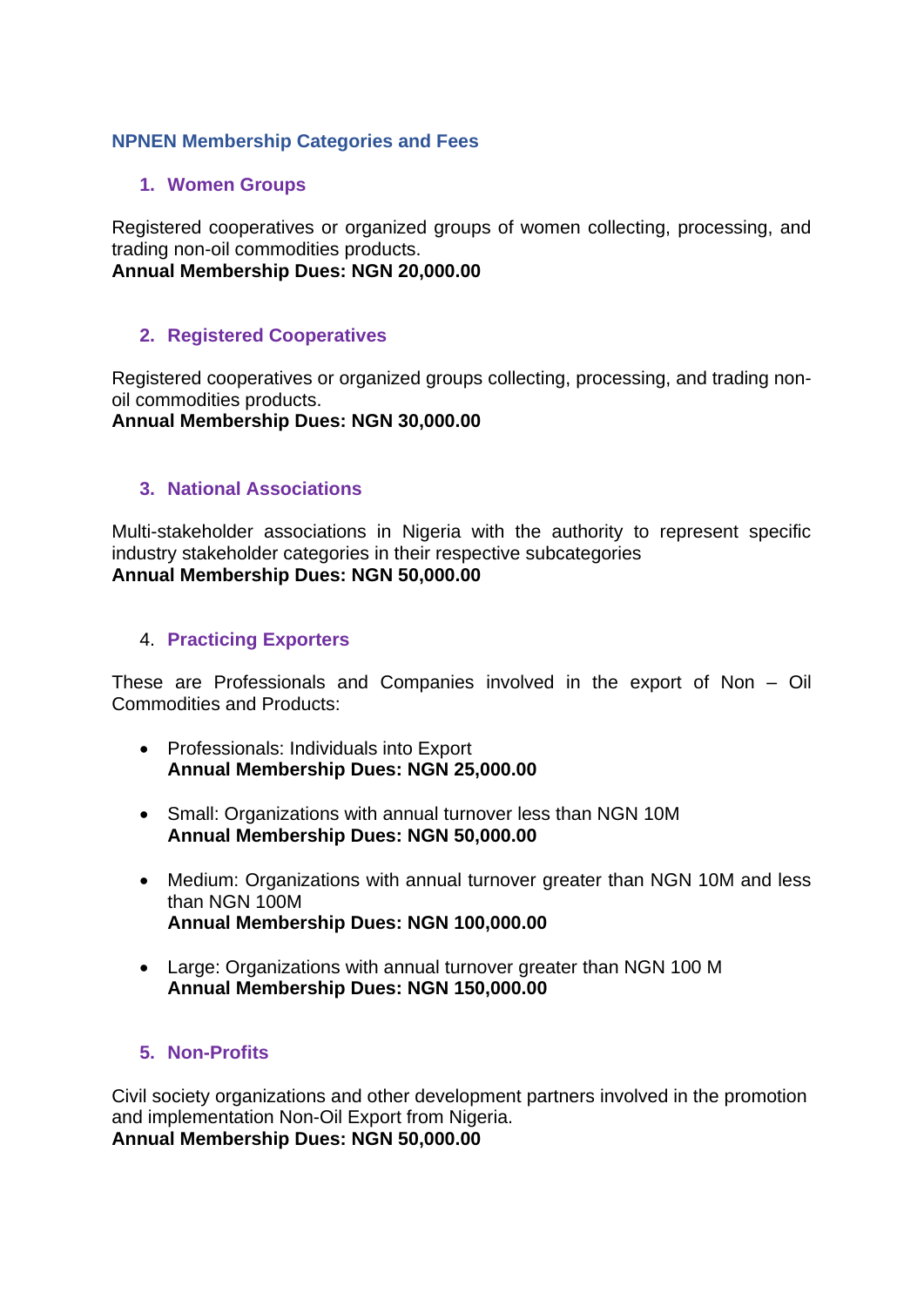# **NPNEN Membership Categories and Fees**

### **1. Women Groups**

Registered cooperatives or organized groups of women collecting, processing, and trading non-oil commodities products.

**Annual Membership Dues: NGN 20,000.00** 

### **2. Registered Cooperatives**

Registered cooperatives or organized groups collecting, processing, and trading nonoil commodities products.

**Annual Membership Dues: NGN 30,000.00** 

## **3. National Associations**

Multi-stakeholder associations in Nigeria with the authority to represent specific industry stakeholder categories in their respective subcategories **Annual Membership Dues: NGN 50,000.00** 

#### 4. **Practicing Exporters**

These are Professionals and Companies involved in the export of Non – Oil Commodities and Products:

- Professionals: Individuals into Export **Annual Membership Dues: NGN 25,000.00**
- Small: Organizations with annual turnover less than NGN 10M **Annual Membership Dues: NGN 50,000.00**
- Medium: Organizations with annual turnover greater than NGN 10M and less than NGN 100M **Annual Membership Dues: NGN 100,000.00**
- Large: Organizations with annual turnover greater than NGN 100 M **Annual Membership Dues: NGN 150,000.00**

## **5. Non-Profits**

Civil society organizations and other development partners involved in the promotion and implementation Non-Oil Export from Nigeria. **Annual Membership Dues: NGN 50,000.00**